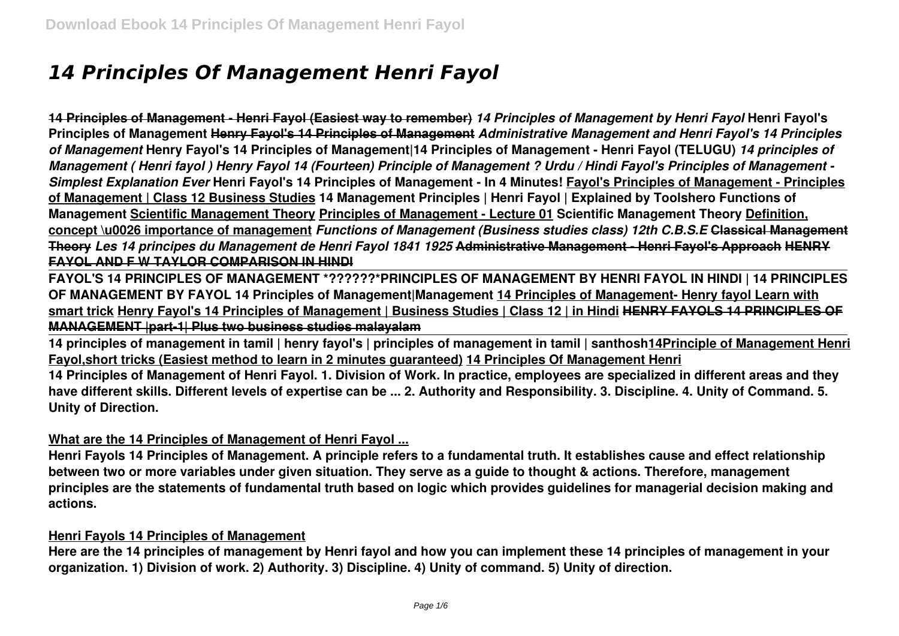# *14 Principles Of Management Henri Fayol*

**14 Principles of Management - Henri Fayol (Easiest way to remember)** *14 Principles of Management by Henri Fayol* **Henri Fayol's Principles of Management Henry Fayol's 14 Principles of Management** *Administrative Management and Henri Fayol's 14 Principles of Management* **Henry Fayol's 14 Principles of Management|14 Principles of Management - Henri Fayol (TELUGU)** *14 principles of Management ( Henri fayol ) Henry Fayol 14 (Fourteen) Principle of Management ? Urdu / Hindi Fayol's Principles of Management - Simplest Explanation Ever* **Henri Fayol's 14 Principles of Management - In 4 Minutes! Fayol's Principles of Management - Principles of Management | Class 12 Business Studies 14 Management Principles | Henri Fayol | Explained by Toolshero Functions of Management Scientific Management Theory Principles of Management - Lecture 01 Scientific Management Theory Definition, concept \u0026 importance of management** *Functions of Management (Business studies class) 12th C.B.S.E* **Classical Management Theory** *Les 14 principes du Management de Henri Fayol 1841 1925* **Administrative Management - Henri Fayol's Approach HENRY FAYOL AND F W TAYLOR COMPARISON IN HINDI**

**FAYOL'S 14 PRINCIPLES OF MANAGEMENT \*??????\*PRINCIPLES OF MANAGEMENT BY HENRI FAYOL IN HINDI | 14 PRINCIPLES OF MANAGEMENT BY FAYOL 14 Principles of Management|Management 14 Principles of Management- Henry fayol Learn with smart trick Henry Fayol's 14 Principles of Management | Business Studies | Class 12 | in Hindi HENRY FAYOLS 14 PRINCIPLES OF MANAGEMENT |part-1| Plus two business studies malayalam**

**14 principles of management in tamil | henry fayol's | principles of management in tamil | santhosh14Principle of Management Henri Fayol,short tricks (Easiest method to learn in 2 minutes guaranteed) 14 Principles Of Management Henri**

**14 Principles of Management of Henri Fayol. 1. Division of Work. In practice, employees are specialized in different areas and they have different skills. Different levels of expertise can be ... 2. Authority and Responsibility. 3. Discipline. 4. Unity of Command. 5. Unity of Direction.**

## **What are the 14 Principles of Management of Henri Fayol ...**

**Henri Fayols 14 Principles of Management. A principle refers to a fundamental truth. It establishes cause and effect relationship between two or more variables under given situation. They serve as a guide to thought & actions. Therefore, management principles are the statements of fundamental truth based on logic which provides guidelines for managerial decision making and actions.**

#### **Henri Fayols 14 Principles of Management**

**Here are the 14 principles of management by Henri fayol and how you can implement these 14 principles of management in your organization. 1) Division of work. 2) Authority. 3) Discipline. 4) Unity of command. 5) Unity of direction.**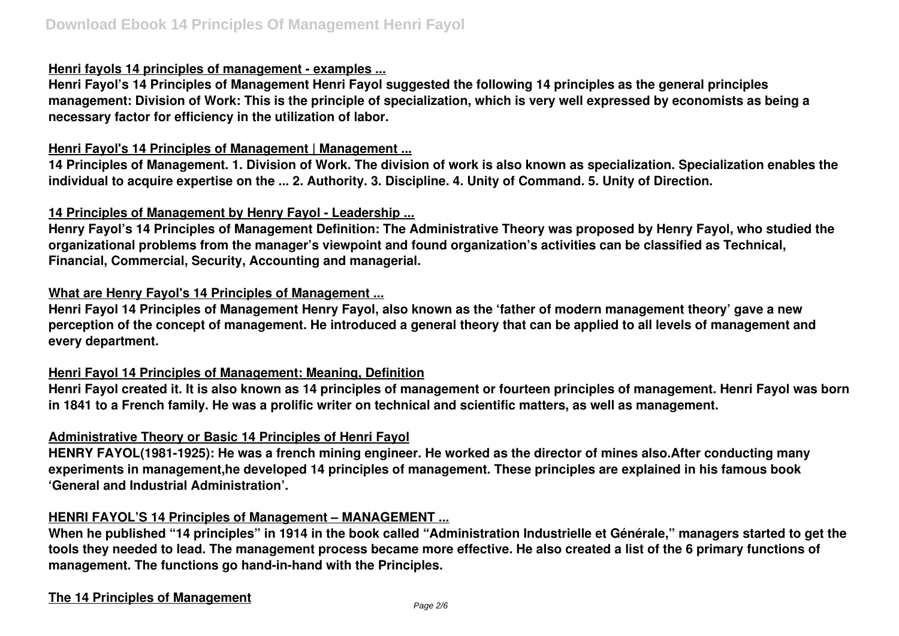#### **Henri fayols 14 principles of management - examples ...**

**Henri Fayol's 14 Principles of Management Henri Fayol suggested the following 14 principles as the general principles management: Division of Work: This is the principle of specialization, which is very well expressed by economists as being a necessary factor for efficiency in the utilization of labor.**

#### **Henri Fayol's 14 Principles of Management | Management ...**

**14 Principles of Management. 1. Division of Work. The division of work is also known as specialization. Specialization enables the individual to acquire expertise on the ... 2. Authority. 3. Discipline. 4. Unity of Command. 5. Unity of Direction.**

#### **14 Principles of Management by Henry Fayol - Leadership ...**

**Henry Fayol's 14 Principles of Management Definition: The Administrative Theory was proposed by Henry Fayol, who studied the organizational problems from the manager's viewpoint and found organization's activities can be classified as Technical, Financial, Commercial, Security, Accounting and managerial.**

#### **What are Henry Fayol's 14 Principles of Management ...**

**Henri Fayol 14 Principles of Management Henry Fayol, also known as the 'father of modern management theory' gave a new perception of the concept of management. He introduced a general theory that can be applied to all levels of management and every department.**

#### **Henri Fayol 14 Principles of Management: Meaning, Definition**

**Henri Fayol created it. It is also known as 14 principles of management or fourteen principles of management. Henri Fayol was born in 1841 to a French family. He was a prolific writer on technical and scientific matters, as well as management.**

#### **Administrative Theory or Basic 14 Principles of Henri Fayol**

**HENRY FAYOL(1981-1925): He was a french mining engineer. He worked as the director of mines also.After conducting many experiments in management,he developed 14 principles of management. These principles are explained in his famous book 'General and Industrial Administration'.**

#### **HENRI FAYOL'S 14 Principles of Management – MANAGEMENT ...**

**When he published "14 principles" in 1914 in the book called "Administration Industrielle et Générale," managers started to get the tools they needed to lead. The management process became more effective. He also created a list of the 6 primary functions of management. The functions go hand-in-hand with the Principles.**

#### **The 14 Principles of Management**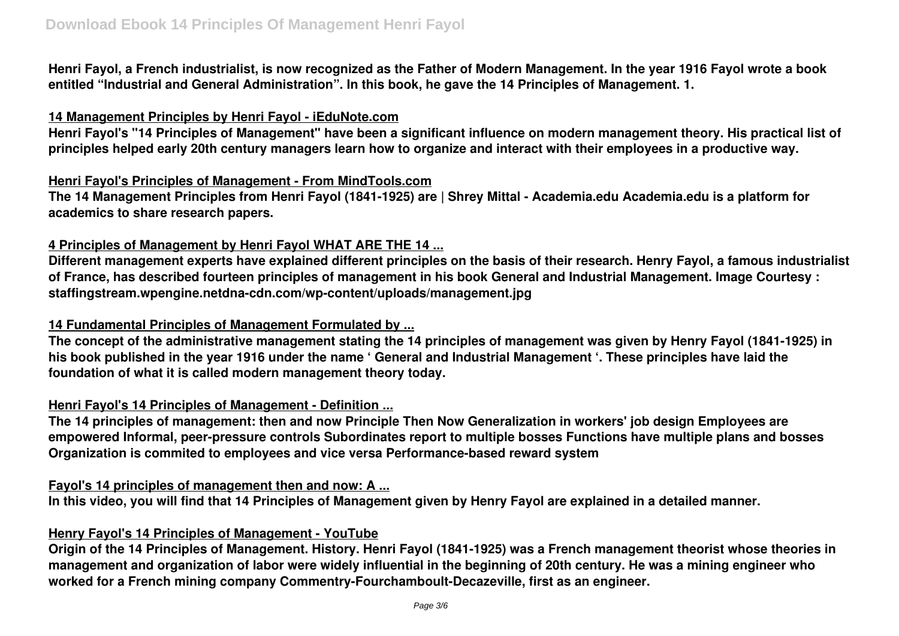**Henri Fayol, a French industrialist, is now recognized as the Father of Modern Management. In the year 1916 Fayol wrote a book entitled "Industrial and General Administration". In this book, he gave the 14 Principles of Management. 1.**

#### **14 Management Principles by Henri Fayol - iEduNote.com**

**Henri Fayol's "14 Principles of Management" have been a significant influence on modern management theory. His practical list of principles helped early 20th century managers learn how to organize and interact with their employees in a productive way.**

### **Henri Fayol's Principles of Management - From MindTools.com**

**The 14 Management Principles from Henri Fayol (1841-1925) are | Shrey Mittal - Academia.edu Academia.edu is a platform for academics to share research papers.**

# **4 Principles of Management by Henri Fayol WHAT ARE THE 14 ...**

**Different management experts have explained different principles on the basis of their research. Henry Fayol, a famous industrialist of France, has described fourteen principles of management in his book General and Industrial Management. Image Courtesy : staffingstream.wpengine.netdna-cdn.com/wp-content/uploads/management.jpg**

## **14 Fundamental Principles of Management Formulated by ...**

**The concept of the administrative management stating the 14 principles of management was given by Henry Fayol (1841-1925) in his book published in the year 1916 under the name ' General and Industrial Management '. These principles have laid the foundation of what it is called modern management theory today.**

## **Henri Fayol's 14 Principles of Management - Definition ...**

**The 14 principles of management: then and now Principle Then Now Generalization in workers' job design Employees are empowered Informal, peer-pressure controls Subordinates report to multiple bosses Functions have multiple plans and bosses Organization is commited to employees and vice versa Performance-based reward system**

## **Fayol's 14 principles of management then and now: A ...**

**In this video, you will find that 14 Principles of Management given by Henry Fayol are explained in a detailed manner.**

## **Henry Fayol's 14 Principles of Management - YouTube**

**Origin of the 14 Principles of Management. History. Henri Fayol (1841-1925) was a French management theorist whose theories in management and organization of labor were widely influential in the beginning of 20th century. He was a mining engineer who worked for a French mining company Commentry-Fourchamboult-Decazeville, first as an engineer.**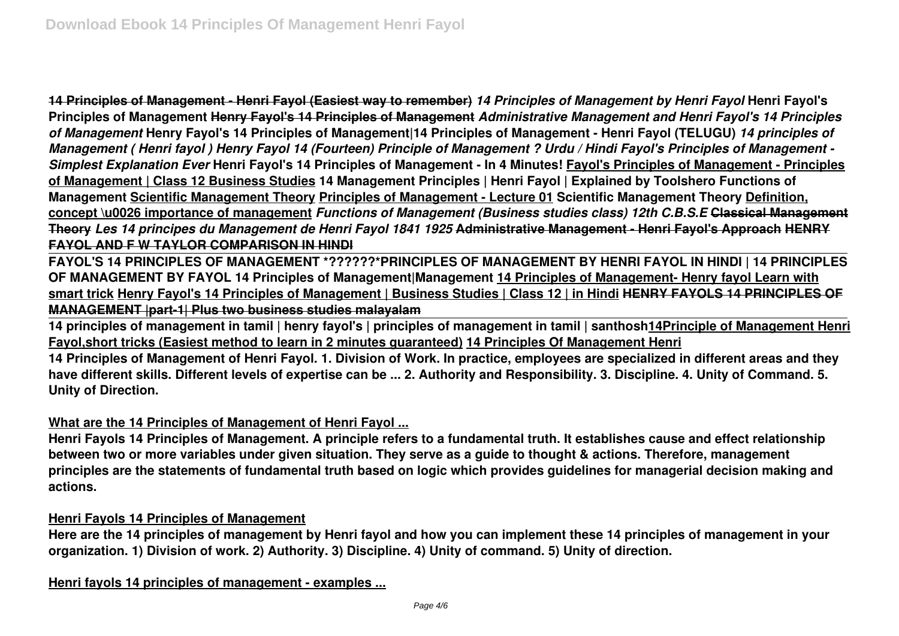**14 Principles of Management - Henri Fayol (Easiest way to remember)** *14 Principles of Management by Henri Fayol* **Henri Fayol's Principles of Management Henry Fayol's 14 Principles of Management** *Administrative Management and Henri Fayol's 14 Principles of Management* **Henry Fayol's 14 Principles of Management|14 Principles of Management - Henri Fayol (TELUGU)** *14 principles of Management ( Henri fayol ) Henry Fayol 14 (Fourteen) Principle of Management ? Urdu / Hindi Fayol's Principles of Management - Simplest Explanation Ever* **Henri Fayol's 14 Principles of Management - In 4 Minutes! Fayol's Principles of Management - Principles of Management | Class 12 Business Studies 14 Management Principles | Henri Fayol | Explained by Toolshero Functions of Management Scientific Management Theory Principles of Management - Lecture 01 Scientific Management Theory Definition, concept \u0026 importance of management** *Functions of Management (Business studies class) 12th C.B.S.E* **Classical Management Theory** *Les 14 principes du Management de Henri Fayol 1841 1925* **Administrative Management - Henri Fayol's Approach HENRY FAYOL AND F W TAYLOR COMPARISON IN HINDI**

**FAYOL'S 14 PRINCIPLES OF MANAGEMENT \*??????\*PRINCIPLES OF MANAGEMENT BY HENRI FAYOL IN HINDI | 14 PRINCIPLES OF MANAGEMENT BY FAYOL 14 Principles of Management|Management 14 Principles of Management- Henry fayol Learn with smart trick Henry Fayol's 14 Principles of Management | Business Studies | Class 12 | in Hindi HENRY FAYOLS 14 PRINCIPLES OF MANAGEMENT |part-1| Plus two business studies malayalam**

**14 principles of management in tamil | henry fayol's | principles of management in tamil | santhosh14Principle of Management Henri Fayol,short tricks (Easiest method to learn in 2 minutes guaranteed) 14 Principles Of Management Henri**

**14 Principles of Management of Henri Fayol. 1. Division of Work. In practice, employees are specialized in different areas and they have different skills. Different levels of expertise can be ... 2. Authority and Responsibility. 3. Discipline. 4. Unity of Command. 5. Unity of Direction.**

#### **What are the 14 Principles of Management of Henri Fayol ...**

**Henri Fayols 14 Principles of Management. A principle refers to a fundamental truth. It establishes cause and effect relationship between two or more variables under given situation. They serve as a guide to thought & actions. Therefore, management principles are the statements of fundamental truth based on logic which provides guidelines for managerial decision making and actions.**

#### **Henri Fayols 14 Principles of Management**

**Here are the 14 principles of management by Henri fayol and how you can implement these 14 principles of management in your organization. 1) Division of work. 2) Authority. 3) Discipline. 4) Unity of command. 5) Unity of direction.**

**Henri fayols 14 principles of management - examples ...**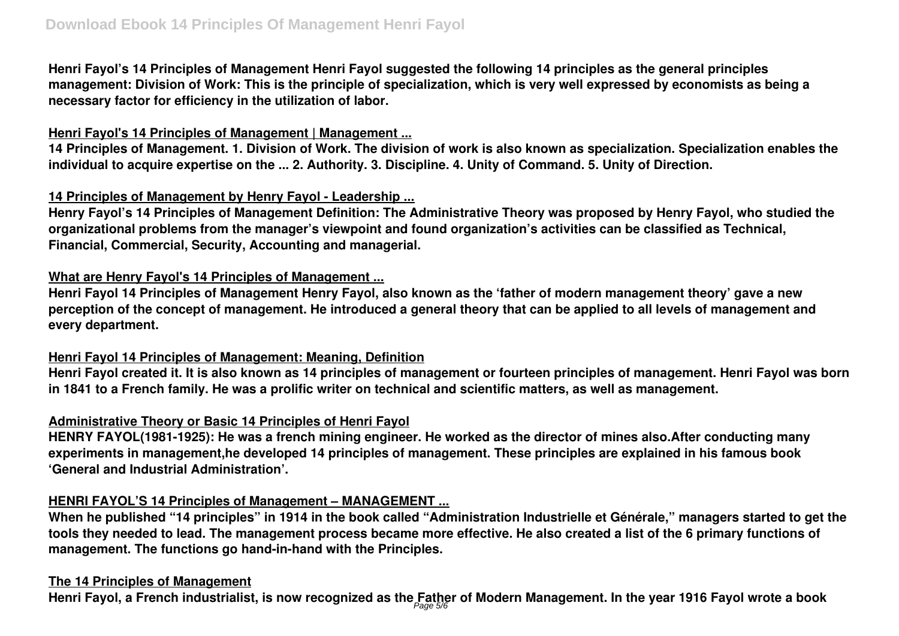**Henri Fayol's 14 Principles of Management Henri Fayol suggested the following 14 principles as the general principles management: Division of Work: This is the principle of specialization, which is very well expressed by economists as being a necessary factor for efficiency in the utilization of labor.**

## **Henri Fayol's 14 Principles of Management | Management ...**

**14 Principles of Management. 1. Division of Work. The division of work is also known as specialization. Specialization enables the individual to acquire expertise on the ... 2. Authority. 3. Discipline. 4. Unity of Command. 5. Unity of Direction.**

## **14 Principles of Management by Henry Fayol - Leadership ...**

**Henry Fayol's 14 Principles of Management Definition: The Administrative Theory was proposed by Henry Fayol, who studied the organizational problems from the manager's viewpoint and found organization's activities can be classified as Technical, Financial, Commercial, Security, Accounting and managerial.**

## **What are Henry Fayol's 14 Principles of Management ...**

**Henri Fayol 14 Principles of Management Henry Fayol, also known as the 'father of modern management theory' gave a new perception of the concept of management. He introduced a general theory that can be applied to all levels of management and every department.**

## **Henri Fayol 14 Principles of Management: Meaning, Definition**

**Henri Fayol created it. It is also known as 14 principles of management or fourteen principles of management. Henri Fayol was born in 1841 to a French family. He was a prolific writer on technical and scientific matters, as well as management.**

## **Administrative Theory or Basic 14 Principles of Henri Fayol**

**HENRY FAYOL(1981-1925): He was a french mining engineer. He worked as the director of mines also.After conducting many experiments in management,he developed 14 principles of management. These principles are explained in his famous book 'General and Industrial Administration'.**

# **HENRI FAYOL'S 14 Principles of Management – MANAGEMENT ...**

**When he published "14 principles" in 1914 in the book called "Administration Industrielle et Générale," managers started to get the tools they needed to lead. The management process became more effective. He also created a list of the 6 primary functions of management. The functions go hand-in-hand with the Principles.**

#### **The 14 Principles of Management**

**Henri Fayol, a French industrialist, is now recognized as the Father of Modern Management. In the year 1916 Fayol wrote a book** Page 5/6